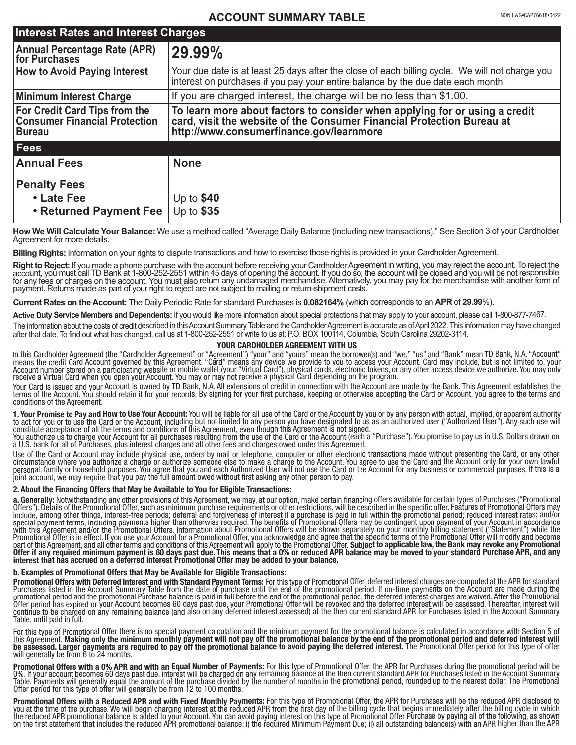# **ACCOUNT SUMMARY TABLE**

| <b>Interest Rates and Interest Charges</b>                                                    |                                                                                                                                                                                                |
|-----------------------------------------------------------------------------------------------|------------------------------------------------------------------------------------------------------------------------------------------------------------------------------------------------|
| Annual Percentage Rate (APR)<br> for Purchases                                                | 29.99%                                                                                                                                                                                         |
| <b>How to Avoid Paying Interest</b>                                                           | Your due date is at least 25 days after the close of each billing cycle. We will not charge you<br>interest on purchases if you pay your entire balance by the due date each month.            |
| Minimum Interest Charge                                                                       | If you are charged interest, the charge will be no less than \$1.00.                                                                                                                           |
| <b>For Credit Card Tips from the</b><br><b>Consumer Financial Protection</b><br><b>Bureau</b> | To learn more about factors to consider when applying for or using a credit card, visit the website of the Consumer Financial Protection Bureau at<br>http://www.consumerfinance.gov/learnmore |
| <b>Fees</b>                                                                                   |                                                                                                                                                                                                |
| <b>Annual Fees</b>                                                                            | <b>None</b>                                                                                                                                                                                    |
| <b>Penalty Fees</b>                                                                           |                                                                                                                                                                                                |
| • Late Fee                                                                                    | Up to $$40$                                                                                                                                                                                    |
| • Returned Payment Fee                                                                        | Up to $$35$                                                                                                                                                                                    |

How We Will Calculate Your Balance: We use a method called "Average Daily Balance (including new transactions)." See Section 3 of your Cardholder Agreement for more details.

**Billing Rights:** Information on your rights to dispute transactions and how to exercise those rights is provided in your Cardholder Agreement.

Right to Reject: If you made a phone purchase with the account before receiving your Cardholder Agreement in writing, you may reject the account. To reject the account. To reject the account will be closed and you will be payment. Returns made as part of your right to reject are not subject to mailing or return-shipment costs.

**Current Rates on the Account:** The Daily Periodic Rate for standard Purchases is **0.082164%** (which corresponds to an **APR** of **29.99**%).

**Active Duty Service Members and Dependents:** If you would like more information about special protections that may apply to your account, please call 1-800-877-7467.

The information about the costs of credit described in this Account Summary Table and the Cardholder Agreement is accurate as of April 2022. This information may have changed after that date. To find out what has changed, call us at 1-800-252-2551 or write to us at: P.O. BOX 100114, Columbia, South Carolina 29202-3114.

### **YOUR CARDHOLDER AGREEMENT WITH US**

In this Cardholder Agreement (the "Cardholder Agreement" or "Agreement") "your" and "yours" mean the borrower(s) and "we," "us" and "Bank" mean TD Bank, N.A. "Account" means the credit Cărd Account governed by this Agreement. "Cărd" means any device we provide to you to access your Account. Card may include, but is not limited to, your<br>Account number stored on a participating website or

Your Card is issued and your Account is owned by TD Bank, N.A. All extensions of credit in connection with the Account are made by the Bank. This Agreement establishes the terms of the Account. You should retain it for you conditions of the Agreement.

**1. Your Promise to Pay and How to Use Your Account:** You will be liable for all use of the Card or the Account by you or by any person with actual, implied, or apparent authority<br>to act for you or to use the Card or the A

You authorize us to charge your Account for all purchases resulting from the use of the Card or the Account (each a "Purchase"). You promise to pay us in U.S. Dollars drawn on<br>a U.S. bank for all of Purchases, plus interes

Use of the Card or Account may include physical use, orders by mail or telephone, computer or other electronic transactions made without presenting the Card, or any other<br>circumstance where you authorize a charge or author joint account, we may require that you pay the full amount owed without first asking any other person to pay.

#### **2. About the Financing Offers that May be Available to You for Eligible Transactions:**

a. Generally: Notwithstanding any other provisions of this Agreement, we may, at our option, make certain financing offers available for certain types of Purchases ("Promotional Offers"). Details of the Promotional Offers"

#### **b. Examples of Promotional Offers that May be Available for Eligible Transactions:**

**Promotional Offers with Deferred Interest and with Standard Payment Terms:** For this type of Promotional Offer, deferred interest charges are computed at the APR for standard<br>Purchases listed in the Account Summary Table continue to be charged on any remaining balance (and also on any déferred interest assessed) at the then current standard APR for Purchases listed in the Account Summary<br>Table, until paid in full.

For this type of Promotional Offer there is no special payment calculation and the minimum payment for the promotional balance is calculated in accordance with Section 5 of this Agreement. Making only the minimum monthly payment will not pay off the promotional balance by the end of the promotional period and deferred interest will<br>be assessed. Larger payments are required to pay off the prom will generally be from 6 to 24 months.

**Promotional Offers with a 0% APR and with an Equal Number of Payments:** For this type of Promotional Offer, the APR for Purchases during the promotional period will be<br>0%. If your account becomes 60 days past due, interes

**Promotional Offers with a Reduced APR and with Fixed Monthly Payments:** For this type of Promotional Offer, the APR for Purchases will be the reduced APR disclosed to you at the time of the purchase. We will begin charging interest at the reduced APR from the first day of the billing cycle that begins immediately after the billing cycle in which<br>the reduced APR promotional balance is ad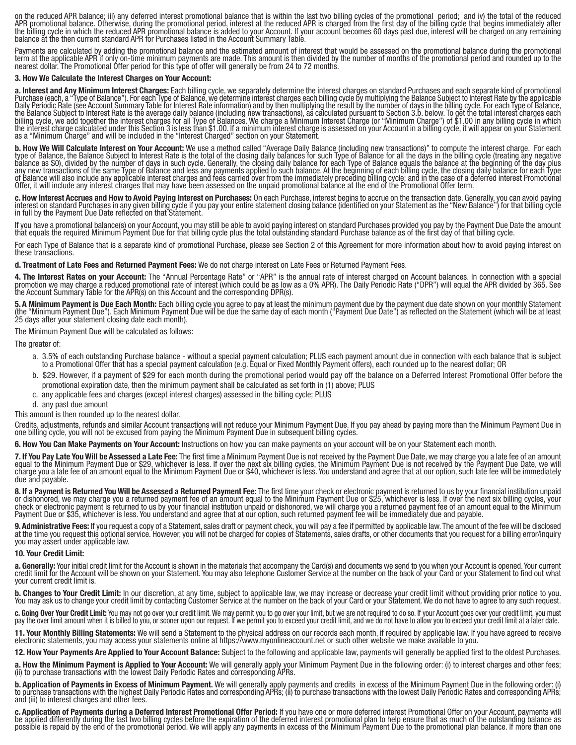on the reduced APR balance; iii) any deferred interest promotional balance that is within the last two billing cycles of the promotional period; and iv) the total of the reduced APR promotional balance. Otherwise, during t

Payments are calculated by adding the promotional balance and the estimated amount of interest that would be assessed on the promotional balance during the promotional term at the applicable APR if only on-time minimum pay

#### **3. How We Calculate the Interest Charges on Your Account:**

a. Interest and Any Minimum Interest Charges: Each billing cycle, we separately determine the interest charges on standard Purchases and each separate kind of promotional<br>Purchase (each, a "Type of Balance"). For each Type

**b. How We Will Calculate Interest on Your Account:** We use a method called "Average Daily Balance (including new transactions)" to compute the interest charge. For each type of Balance, the Balance Subject to Interest Rat Offer, it will include any interest charges that may have been assessed on the unpaid promotional balance at the end of the Promotional Offer term.

c. How Interest Accrues and How to Avoid Paying Interest on Purchases: On each Purchase, interest begins to accrue on the transaction date. Generally, you can avoid paying interest on standard Purchases in any given billin

If you have a promotional balance(s) on your Account, you may still be able to avoid paying interest on standard Purchases provided you pay by the Payment Due Date the amount<br>that equals the required Minimum Payment Due fo

For each Type of Balance that is a separate kind of promotional Purchase, please see Section 2 of this Agreement for more information about how to avoid paying interest on<br>these transactions.

**d. Treatment of Late Fees and Returned Payment Fees:** We do not charge interest on Late Fees or Returned Payment Fees.

**4. The Interest Rates on your Account:** The "Annual Percentage Rate" or "APR" is the annual rate of interest charged on Account balances. In connection with a special<br>promotion we may charge a reduced promotional rate of

5. A Minimum Payment is Due Each Month: Each billing cycle you agree to pay at least the minimum payment due by the payment due date shown on your monthly Statement<br>(the "Minimum Payment Due"). Each Minimum Payment Due wil

The Minimum Payment Due will be calculated as follows:

The greater of:

- a. 3.5% of each outstanding Purchase balance without a special payment calculation; PLUS each payment amount due in connection with each balance that is subject a. to a Promotional Offer that has a special payment calculation (e.g. Equal or Fixed Monthly Payment offers), each rounded up to the nearest dollar; OR
- b. \$29. However, if a payment of \$29 for each month during the promotional period would pay off the balance on a Deferred Interest Promotional Offer before the promotional expiration date, then the minimum payment shall be calculated as set forth in (1) above; PLUS
- c. any applicable fees and charges (except interest charges) assessed in the billing cycle; PLUS
- d. any past due amount
- This amount is then rounded up to the nearest dollar.

Credits, adjustments, refunds and similar Account transactions will not reduce your Minimum Payment Due. If you pay ahead by paying more than the Minimum Payment Due in<br>one billing cycle, you will not be excused from payin

**6. How You Can Make Payments on Your Account:** Instructions on how you can make payments on your account will be on your Statement each month.

7. If You Pay Late You Will be Assessed a Late Fee: The first time a Minimum Payment Due is not received by the Payment Due Date, we may charge you a late fee of an amount equal to the Minimum Payment Due or \$29, whichever due and payable.

8. If a Payment is Returned You Will be Assessed a Returned Payment Fee: The first time your check or electronic payment is returned to us by your financial institution unpaid or dishonored, we may charge you a returned pa

**9. Administrative Fees:** If you request a copy of a Statement, sales draft or payment check, you will pay a fee if permitted by applicable law. The amount of the fee will be disclosed at the time you request this optional service. However, you will not be charged for copies of Statements, sales drafts, or other documents that you request for a billing error/inquiry<br>you may assert under applicable law.

#### **10. Your Credit Limit:**

a. Generally: Your initial credit limit for the Account is shown in the materials that accompany the Card(s) and documents we send to you when your Account is opened. Your current<br>credit limit for the Account will be shown your current credit limit is.

b. Changes to Your Credit Limit: In our discretion, at any time, subject to applicable law, we may increase or decrease your credit limit without providing prior notice to you.<br>You may ask us to change your credit limit by

c. Going Over Your Credit Limit: You may not go over your credit limit. We may permit you to go over your limit, but we are not required to do so. If your Account goes over your credit limit, you must pay the over limit am

**11. Your Monthly Billing Statements:** We will send a Statement to the physical address on our records each month, if required by applicable law. If you have agreed to receive electronic statements, you may access your statements online at https://www.myonlineaccount.net or such other website we make available to you.

**12. How Your Payments Are Applied to Your Account Balance:** Subject to the following and applicable law, payments will generally be applied first to the oldest Purchases.

a. How the Minimum Payment is Applied to Your Account: We will generally apply your Minimum Payment Due in the following order: (i) to interest charges and other fees; (ii) to purchase transactions with the lowest Daily Pe

**b. Application of Payments in Excess of Minimum Payment.** We will generally apply payments and credits in excess of the Minimum Payment Due in the following order: (i) to purchase transactions with the lowest Daily Period

c. Application of Payments during a Deferred Interest Promotional Offer Period: If you have one or more deferred interest Promotional Offer on your Account, payments will<br>be applied differently during the last two billing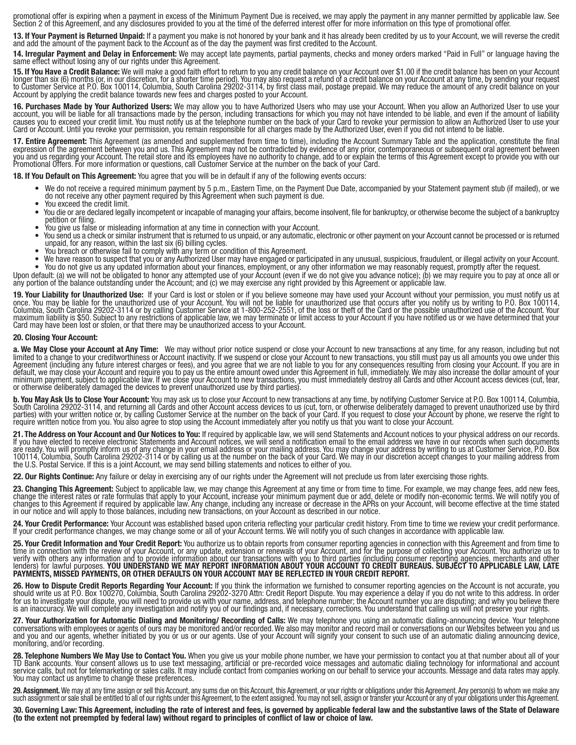promotional offer is expiring when a payment in excess of the Minimum Payment Due is received, we may apply the payment in any manner permitted by applicable law. See<br>Section 2 of this Agreement, and any disclosures provid

**13. If Your Payment is Returned Unpaid:** If a payment you make is not honored by your bank and it has already been credited by us to your Account, we will reverse the credit and add the amount of the payment back to the Account as of the day the payment was first credited to the Account.

14. Irregular Payment and Delay in Enforcement: We may accept late payments, partial payments, checks and money orders marked "Paid in Full" or language having the<br>same effect without losing any of our rights under this Ag

15. If You Have a Credit Balance: We will make a good faith effort to return to you any credit balance on your Account over \$1.00 if the credit balance has been on your Account longer than six (6) months (or, in our discre

**16. Purchases Made by Your Authorized Users:** We may allow you to have Authorized Users who may use your Account. When you allow an Authorized User to use your account, you will be liable for all transactions made by the

**17. Entire Agreement:** This Agreement (as amended and supplemented from time to time), including the Account Summary Table and the application, constitute the final expression of the agreement between you and us. This Agreement may not be contradicted by evidence of any prior, contemporaneous or subsequent oral agreement between<br>you and us regarding your Account. The retail store and

**18. If You Default on This Agreement:** You agree that you will be in default if any of the following events occurs:

- We do not receive a required minimum payment by 5 p.m., Eastern Time, on the Payment Due Date, accompanied by your Statement payment stub (if mailed), or we<br>do not receive any other payment required by this Agreement whe
- You exceed the credit limit.
- You die or are declared legally incompetent or incapable of managing your affairs, become insolvent, file for bankruptcy, or otherwise become the subject of a bankruptcy • You give us false or misleading information at any time in connection with your Account.
- 
- You send us a check or similar instrument that is returned to us unpaid, or any automatic, electronic or other payment on your Account cannot be processed or is returned<br>unpaid, for any reason, within the last six (6) bill
- You breach or otherwise fail to comply with any term or condition of this Agreement.
- We have reason to suspect that you or any Authorized User may have engaged or participated in any unusual, suspicious, fraudulent, or illegal activity on your Account. • You do not give us any updated information about your finances, employment, or any other information we may reasonably request, promptly after the request.

Upon default: (a) we will not be obligated to honor any attempted use of your Account (even if we do not give you advance notice); (b) we may require you to pay at once all or<br>any portion of the balance outstanding under t

**19. Your Liability for Unauthorized Use:** If your Card is lost or stolen or if you believe someone may have used your Account without your permission, you must notify us at once. You may be liable for the unauthorized use of your Account. You will not be liable for unauthorized use that occurs after you notify us by writing to P.O. Box 100114,<br>Columbia, South Carolina 29202-3114 or by calling maximum liability is \$50. Subject to any restrictions of applicable law, we may terminate or limit access to your Account if you have notified us or we have determined that your<br>Card may have been lost or stolen, or that t

#### **20. Closing Your Account:**

**a. We May Close your Account at Any Time:** We may without prior notice suspend or close your Account to new transactions at any time, for any reason, including but not limited to a change to your creditworthiness or Accou

**b. You May Ask Us to Close Your Account:** You may ask us to close your Account to new transactions at any time, by notifying Customer Service at P.O. Box 100114, Columbia, Columbia, Columbia, Columbia, Columbia, Columbia, parties) with your written notice or, by calling Customer Service at the number on the back of your Card. If you request to close your Account by phone, we reserve the right to require written notice from you. You also agr

**21. The Address on Your Account and Our Notices to You:** If required by applicable law, we will send Statements and Account notices to your physical address on our records.<br>If you have elected to receive electronic Statem are ready. You will promptly inform us of any change in your email address or your mailing address. You may change your address by writing to us at Customer Service, P.O. Box<br>100114, Columbia, South Carolina 29202-3114 or

**22. Our Rights Continue:** Any failure or delay in exercising any of our rights under the Agreement will not preclude us from later exercising those rights.

**23. Changing This Agreement:** Subject to applicable law, we may change this Agreement at any time or from time to time. For example, we may change fees, add new fees, change the interest rates or rate formulas that apply to your Account, increase your minimum payment due or add, delete or modify non-economic terms. We will notify you of<br>changes to this Agreement if required by applicabl in our notice and will apply to those balances, including new transactions, on your Account as described in our notice.

24. Your Credit Performance: Your Account was established based upon criteria reflecting your particular credit history. From time to time we review your credit performance.<br>If your credit performance changes, we may chang

25. Your Credit Information and Your Credit Report: You authorize us to obtain reports from consumer reporting agencies in connection with this Agreement and from time to time in connection with the review of your Account,

26. How to Dispute Credit Reports Regarding Your Account: If you think the information we furnished to consumer reporting agencies on the Account is not accurate, you should write us at P.O. Box 100270, Columbia, South Car

27. Your Authorization for Automatic Dialing and Monitoring/ Recording of Calls: We may telephone you using an automatic dialing-announcing device. Your telephone conversations with employees or agents of ours may be monit

28. Telephone Numbers We May Use to Contact You. When you give us your mobile phone number, we have your permission to contact you at that number about all of your TD Bank accounts. Your consent allows us to use text messa

29. Assignment. We may at any time assign or sell this Account, any sums due on this Account, this Agreement, or your rights or obligations under this Agreement. Any person(s) to whom we make any such assignment or sale sh

**30. Governing Law: This Agreement, including the rate of interest and fees, is governed by applicable federal law and the substantive laws of the State of Delaware (to the extent not preempted by federal law) without regard to principles of conflict of law or choice of law.**